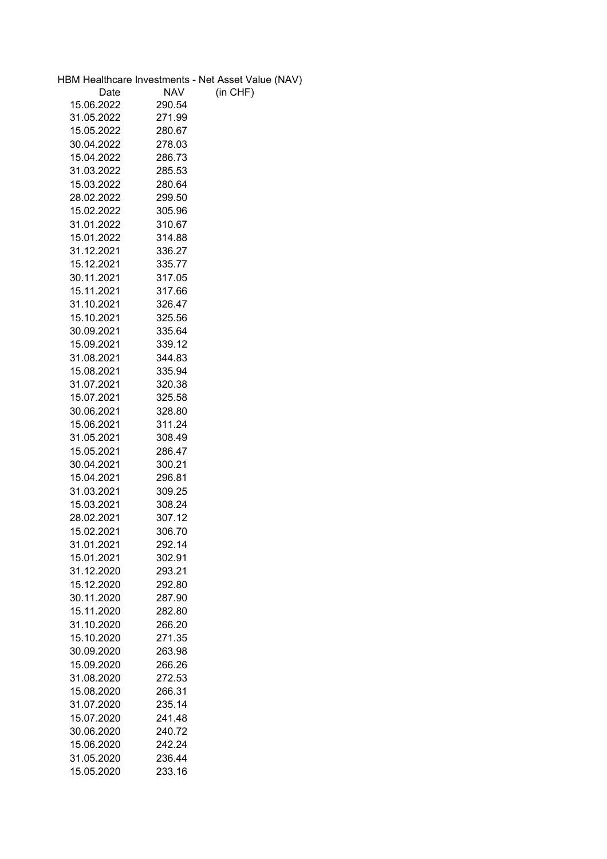|            |                  | HBM Healthcare Investments - Net Asset Value (NAV) |
|------------|------------------|----------------------------------------------------|
| Date       | <b>NAV</b>       | (in CHF)                                           |
| 15.06.2022 | 290.54           |                                                    |
| 31.05.2022 | 271.99           |                                                    |
| 15.05.2022 | 280.67           |                                                    |
| 30.04.2022 | 278.03           |                                                    |
| 15.04.2022 | 286.73           |                                                    |
| 31.03.2022 | 285.53           |                                                    |
| 15.03.2022 | 280.64           |                                                    |
| 28.02.2022 | 299.50           |                                                    |
| 15.02.2022 | 305.96           |                                                    |
| 31.01.2022 | 310.67           |                                                    |
| 15.01.2022 | 314.88           |                                                    |
| 31.12.2021 | 336.27           |                                                    |
| 15.12.2021 | 335.77           |                                                    |
| 30.11.2021 | 317.05           |                                                    |
| 15.11.2021 | 317.66           |                                                    |
| 31.10.2021 | 326.47           |                                                    |
| 15.10.2021 |                  |                                                    |
|            | 325.56<br>335.64 |                                                    |
| 30.09.2021 |                  |                                                    |
| 15.09.2021 | 339.12           |                                                    |
| 31.08.2021 | 344.83           |                                                    |
| 15.08.2021 | 335.94           |                                                    |
| 31.07.2021 | 320.38           |                                                    |
| 15.07.2021 | 325.58           |                                                    |
| 30.06.2021 | 328.80           |                                                    |
| 15.06.2021 | 311.24           |                                                    |
| 31.05.2021 | 308.49           |                                                    |
| 15.05.2021 | 286.47           |                                                    |
| 30.04.2021 | 300.21           |                                                    |
| 15.04.2021 | 296.81           |                                                    |
| 31.03.2021 | 309.25           |                                                    |
| 15.03.2021 | 308.24           |                                                    |
| 28.02.2021 | 307.12           |                                                    |
| 15 02 2021 | 306.70           |                                                    |
| 31.01.2021 | 292.14           |                                                    |
| 15.01.2021 | 302.91           |                                                    |
| 31.12.2020 | 293.21           |                                                    |
| 15.12.2020 | 292.80           |                                                    |
| 30.11.2020 | 287.90           |                                                    |
| 15.11.2020 | 282.80           |                                                    |
| 31.10.2020 | 266.20           |                                                    |
| 15.10.2020 | 271.35           |                                                    |
| 30.09.2020 | 263.98           |                                                    |
| 15.09.2020 | 266.26           |                                                    |
| 31.08.2020 | 272.53           |                                                    |
| 15.08.2020 | 266.31           |                                                    |
| 31.07.2020 | 235.14           |                                                    |
| 15.07.2020 | 241.48           |                                                    |
| 30.06.2020 | 240.72           |                                                    |
| 15.06.2020 | 242.24           |                                                    |
| 31.05.2020 | 236.44           |                                                    |
| 15.05.2020 | 233.16           |                                                    |
|            |                  |                                                    |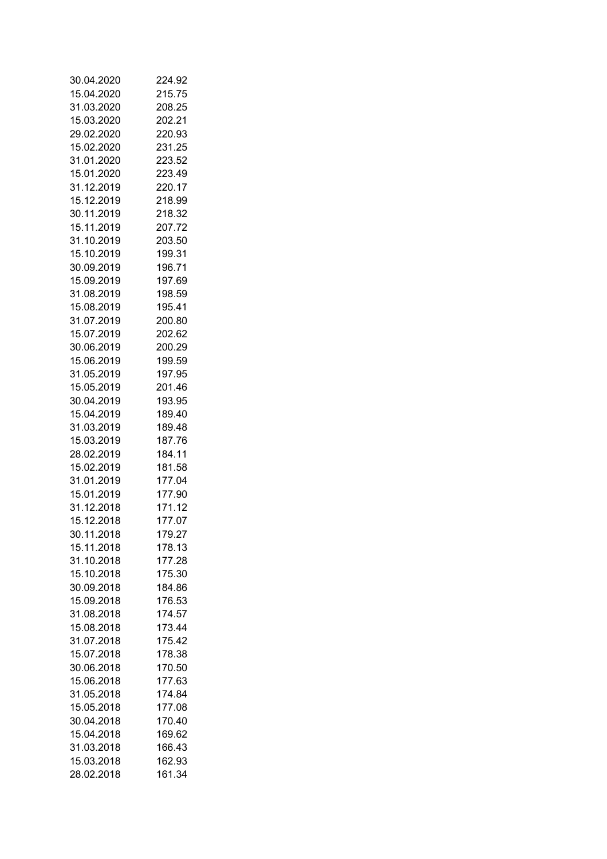| 30.04.2020 | 224.92 |
|------------|--------|
| 15.04.2020 | 215.75 |
| 31.03.2020 | 208.25 |
| 15.03.2020 | 202.21 |
| 29.02.2020 | 220.93 |
| 15.02.2020 | 231.25 |
| 31.01.2020 | 223.52 |
| 15.01.2020 | 223.49 |
| 31.12.2019 | 220.17 |
| 15.12.2019 | 218.99 |
| 30.11.2019 | 218.32 |
| 15.11.2019 | 207.72 |
| 31.10.2019 | 203.50 |
| 15.10.2019 | 199.31 |
|            |        |
| 30.09.2019 | 196.71 |
| 15.09.2019 | 197.69 |
| 31.08.2019 | 198.59 |
| 15.08.2019 | 195.41 |
| 31.07.2019 | 200.80 |
| 15.07.2019 | 202.62 |
| 30.06.2019 | 200.29 |
| 15.06.2019 | 199.59 |
| 31.05.2019 | 197.95 |
| 15.05.2019 | 201.46 |
| 30.04.2019 | 193.95 |
| 15.04.2019 | 189.40 |
| 31.03.2019 | 189.48 |
| 15.03.2019 | 187.76 |
| 28.02.2019 | 184.11 |
| 15.02.2019 | 181.58 |
| 31.01.2019 | 177.04 |
| 15.01.2019 | 177.90 |
| 31.12.2018 | 171.12 |
| 15.12.2018 | 177.07 |
| 30.11.2018 | 179.27 |
| 15.11.2018 | 178.13 |
| 31.10.2018 | 177.28 |
| 15.10.2018 | 175.30 |
| 30.09.2018 | 184.86 |
| 15.09.2018 | 176.53 |
|            |        |
| 31.08.2018 | 174.57 |
| 15.08.2018 | 173.44 |
| 31.07.2018 | 175.42 |
| 15.07.2018 | 178.38 |
| 30.06.2018 | 170.50 |
| 15.06.2018 | 177.63 |
| 31.05.2018 | 174.84 |
| 15.05.2018 | 177.08 |
| 30.04.2018 | 170.40 |
| 15.04.2018 | 169.62 |
| 31.03.2018 | 166.43 |
| 15.03.2018 | 162.93 |
| 28.02.2018 | 161.34 |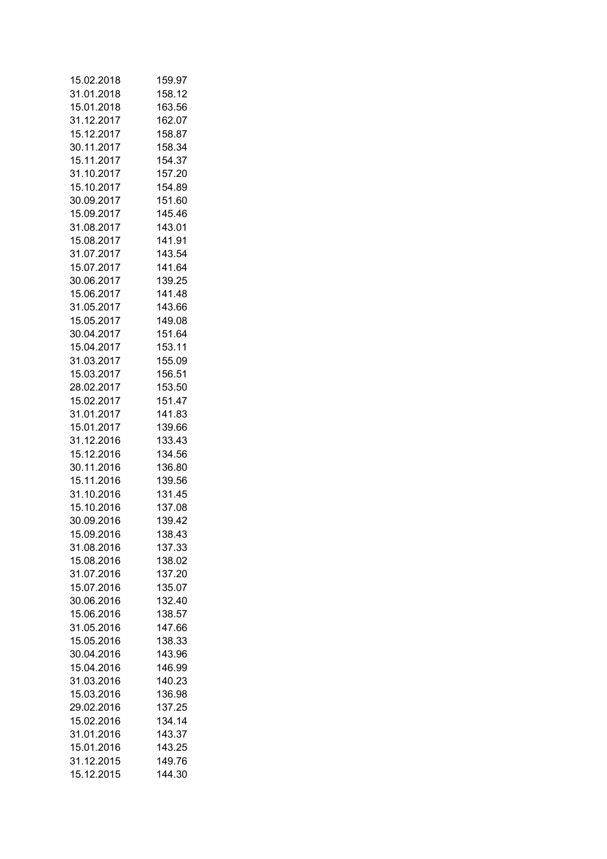| 15.02.2018               | 159.97 |
|--------------------------|--------|
| 31.01.2018               | 158.12 |
| 15.01.2018               | 163.56 |
| 31.12.2017               | 162.07 |
| 15.12.2017               | 158.87 |
| 30.11.2017               | 158.34 |
| 15.11.2017               | 154.37 |
| 31.10.2017               | 157.20 |
| 15.10.2017               | 154.89 |
| 30.09.2017               | 151.60 |
| 15.09.2017               | 145.46 |
| 31.08.2017               | 143.01 |
| 15.08.2017               | 141.91 |
|                          |        |
| 31.07.2017               | 143.54 |
| 15.07.2017               | 141.64 |
| 30.06.2017               | 139.25 |
| 15.06.2017               | 141.48 |
| 31.05.2017               | 143.66 |
| 15.05.2017               | 149.08 |
| 30.04.2017               | 151.64 |
| 15.04.2017               | 153.11 |
| 31.03.2017               | 155.09 |
| 15.03.2017               | 156.51 |
| 28.02.2017               | 153.50 |
| 15.02.2017               | 151.47 |
| 31.01.2017               | 141.83 |
| 15.01.2017               | 139.66 |
| 31.12.2016               | 133.43 |
| 15.12.2016               | 134.56 |
| 30.11.2016               | 136.80 |
| 15.11.2016               | 139.56 |
| 31.10.2016               | 131.45 |
| 15.10.2016               | 137.08 |
| 30.09.2016               | 139.42 |
| 15.09.2016               | 138.43 |
| 31.08.2016               | 137.33 |
|                          |        |
| 15.08.2016<br>31.07.2016 | 138.02 |
|                          | 137.20 |
| 15.07.2016               | 135.07 |
| 30.06.2016               | 132.40 |
| 15.06.2016               | 138.57 |
| 31.05.2016               | 147.66 |
| 15.05.2016               | 138.33 |
| 30.04.2016               | 143.96 |
| 15.04.2016               | 146.99 |
| 31.03.2016               | 140.23 |
| 15.03.2016               | 136.98 |
| 29.02.2016               | 137.25 |
| 15.02.2016               | 134.14 |
| 31.01.2016               | 143.37 |
| 15.01.2016               | 143.25 |
| 31.12.2015               | 149.76 |
| 15.12.2015               | 144.30 |
|                          |        |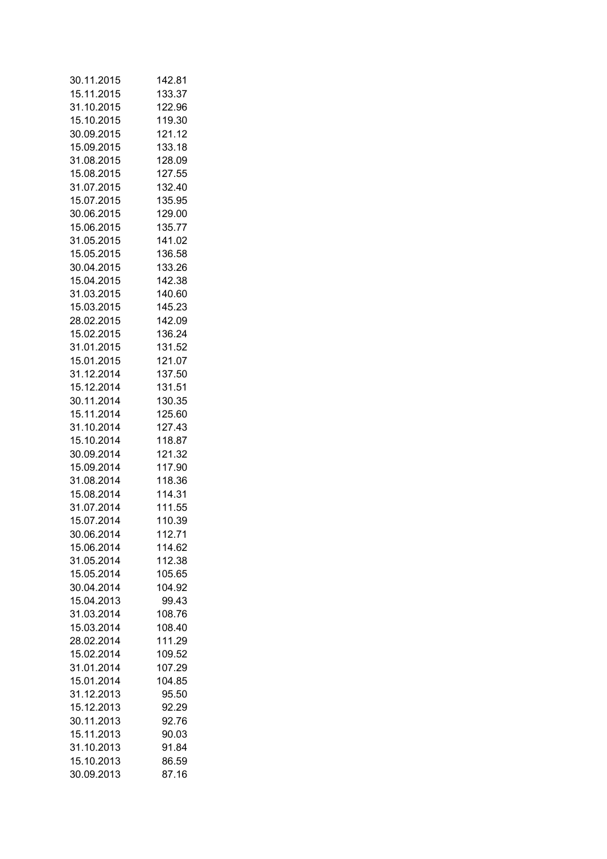| 30.11.2015 | 142.81 |
|------------|--------|
| 15.11.2015 | 133.37 |
| 31.10.2015 | 122.96 |
| 15.10.2015 | 119.30 |
| 30.09.2015 | 121.12 |
| 15.09.2015 | 133.18 |
| 31.08.2015 | 128.09 |
| 15.08.2015 | 127.55 |
| 31.07.2015 | 132.40 |
| 15.07.2015 | 135.95 |
| 30.06.2015 | 129.00 |
| 15.06.2015 | 135.77 |
| 31.05.2015 | 141.02 |
|            |        |
| 15.05.2015 | 136.58 |
| 30.04.2015 | 133.26 |
| 15.04.2015 | 142.38 |
| 31.03.2015 | 140.60 |
| 15.03.2015 | 145.23 |
| 28.02.2015 | 142.09 |
| 15.02.2015 | 136.24 |
| 31.01.2015 | 131.52 |
| 15.01.2015 | 121.07 |
| 31.12.2014 | 137.50 |
| 15.12.2014 | 131.51 |
| 30.11.2014 | 130.35 |
| 15.11.2014 | 125.60 |
| 31.10.2014 | 127.43 |
| 15.10.2014 | 118.87 |
| 30.09.2014 | 121.32 |
| 15.09.2014 | 117.90 |
| 31.08.2014 | 118.36 |
| 15.08.2014 | 114.31 |
| 31.07.2014 | 111.55 |
| 15.07.2014 | 110.39 |
| 30.06.2014 | 112.71 |
| 15.06.2014 | 114.62 |
| 31.05.2014 | 112.38 |
| 15.05.2014 | 105.65 |
| 30.04.2014 | 104.92 |
| 15.04.2013 | 99.43  |
|            |        |
| 31.03.2014 | 108.76 |
| 15.03.2014 | 108.40 |
| 28.02.2014 | 111.29 |
| 15.02.2014 | 109.52 |
| 31.01.2014 | 107.29 |
| 15.01.2014 | 104.85 |
| 31.12.2013 | 95.50  |
| 15.12.2013 | 92.29  |
| 30.11.2013 | 92.76  |
| 15.11.2013 | 90.03  |
| 31.10.2013 | 91.84  |
| 15.10.2013 | 86.59  |
| 30.09.2013 | 87.16  |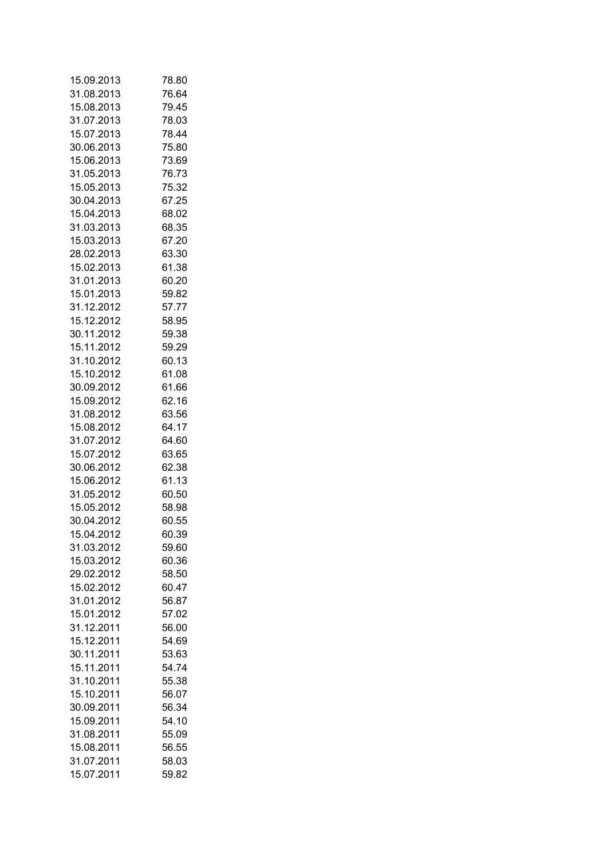| 15.09.2013               | 78.80          |
|--------------------------|----------------|
| 31.08.2013               | 76.64          |
| 15.08.2013               | 79.45          |
| 31.07.2013               | 78.03          |
| 15.07.2013               | 78.44          |
| 30.06.2013               | 75.80          |
| 15.06.2013               | 73.69          |
| 31.05.2013               | 76.73          |
| 15.05.2013               | 75.32          |
| 30.04.2013               | 67.25          |
| 15.04.2013               | 68.02          |
| 31.03.2013               | 68.35          |
| 15.03.2013               | 67.20          |
| 28.02.2013               | 63.30          |
| 15.02.2013               | 61.38          |
| 31.01.2013               | 60.20          |
| 15.01.2013               | 59.82          |
| 31.12.2012               | 57.77          |
| 15.12.2012               |                |
|                          | 58.95          |
| 30.11.2012               | 59.38          |
| 15.11.2012               | 59.29          |
| 31.10.2012               | 60.13          |
| 15.10.2012               | 61.08          |
| 30.09.2012               | 61.66          |
| 15.09.2012               | 62.16          |
| 31.08.2012               | 63.56          |
| 15.08.2012               | 64.17          |
| 31.07.2012               | 64.60          |
| 15.07.2012               | 63.65          |
| 30.06.2012<br>15.06.2012 | 62.38<br>61.13 |
| 31.05.2012               |                |
| 15.05.2012               | 60.50          |
| 30.04.2012               | 58.98<br>60.55 |
| 15.04.2012               | 60.39          |
|                          |                |
| 31.03.2012<br>15.03.2012 | 59.60<br>60.36 |
| 29.02.2012               |                |
| 15.02.2012               | 58.50<br>60.47 |
| 31.01.2012               | 56.87          |
| 15.01.2012               | 57.02          |
| 31.12.2011               | 56.00          |
| 15.12.2011               | 54.69          |
| 30.11.2011               | 53.63          |
| 15.11.2011               | 54.74          |
| 31.10.2011               | 55.38          |
| 15.10.2011               | 56.07          |
| 30.09.2011               | 56.34          |
| 15.09.2011               | 54.10          |
| 31.08.2011               | 55.09          |
| 15.08.2011               | 56.55          |
| 31.07.2011               | 58.03          |
| 15.07.2011               | 59.82          |
|                          |                |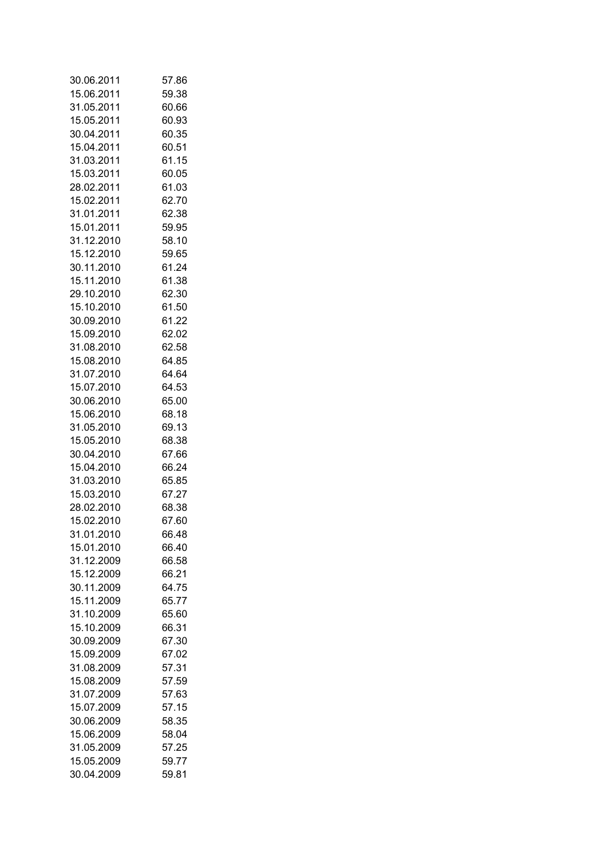| 30.06.2011 | 57.86          |
|------------|----------------|
| 15.06.2011 | 59.38          |
| 31.05.2011 | 60.66          |
| 15.05.2011 | 60.93          |
| 30.04.2011 | 60.35          |
| 15.04.2011 | 60.51          |
| 31.03.2011 | 61.15          |
| 15.03.2011 | 60.05          |
| 28.02.2011 | 61.03          |
| 15.02.2011 | 62.70          |
| 31.01.2011 | 62.38          |
| 15.01.2011 | 59.95          |
|            |                |
| 31.12.2010 | 58.10          |
| 15.12.2010 | 59.65          |
| 30.11.2010 | 61.24          |
| 15.11.2010 | 61.38          |
| 29.10.2010 | 62.30          |
| 15.10.2010 | 61.50          |
| 30.09.2010 | 61.22          |
| 15.09.2010 | 62.02          |
| 31.08.2010 | 62.58          |
| 15.08.2010 | 64.85          |
| 31.07.2010 | 64.64          |
| 15.07.2010 | 64.53          |
| 30.06.2010 | 65.00          |
| 15.06.2010 | 68.18          |
| 31.05.2010 | 69.13          |
| 15.05.2010 | 68.38          |
| 30.04.2010 | 67.66          |
| 15.04.2010 | 66.24          |
| 31.03.2010 | 65.85          |
| 15.03.2010 | 67.27          |
| 28.02.2010 | 68.38          |
| 15.02.2010 | 67.60          |
| 31.01.2010 | 66.48          |
| 15.01.2010 | 66.40          |
| 31.12.2009 | 66.58          |
| 15.12.2009 |                |
| 30.11.2009 | 66.21<br>64.75 |
|            |                |
| 15.11.2009 | 65.77          |
| 31.10.2009 | 65.60          |
| 15.10.2009 | 66.31          |
| 30.09.2009 | 67.30          |
| 15.09.2009 | 67.02          |
| 31.08.2009 | 57.31          |
| 15.08.2009 | 57.59          |
| 31.07.2009 | 57.63          |
| 15.07.2009 | 57.15          |
| 30.06.2009 | 58.35          |
| 15.06.2009 | 58.04          |
| 31.05.2009 | 57.25          |
| 15.05.2009 | 59.77          |
| 30.04.2009 | 59.81          |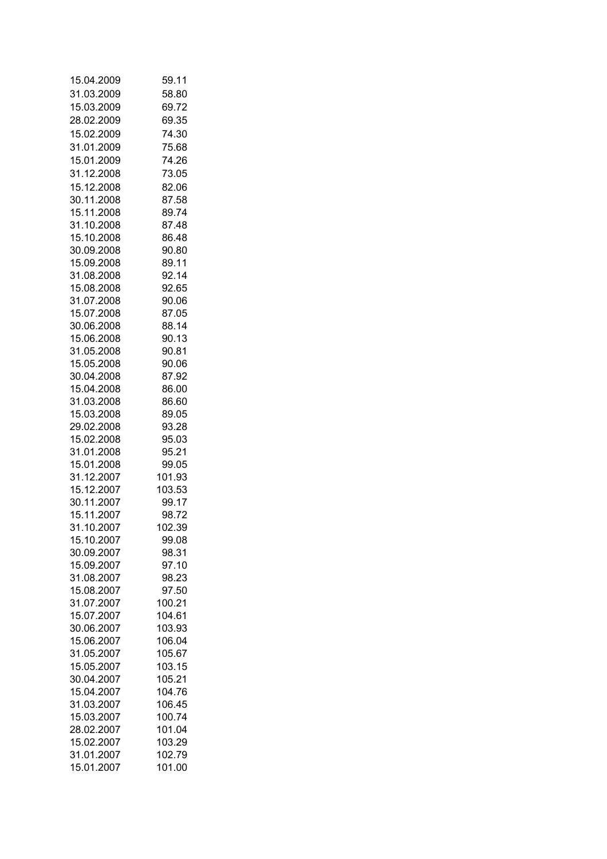| 15.04.2009 | 59.11  |
|------------|--------|
| 31.03.2009 | 58.80  |
| 15.03.2009 | 69.72  |
| 28.02.2009 | 69.35  |
| 15.02.2009 | 74.30  |
| 31.01.2009 | 75.68  |
| 15.01.2009 | 74.26  |
| 31.12.2008 | 73.05  |
| 15.12.2008 | 82.06  |
| 30.11.2008 | 87.58  |
| 15.11.2008 | 89.74  |
| 31.10.2008 | 87.48  |
| 15.10.2008 | 86.48  |
| 30.09.2008 | 90.80  |
| 15.09.2008 | 89.11  |
| 31.08.2008 | 92.14  |
| 15.08.2008 |        |
| 31.07.2008 | 92.65  |
|            | 90.06  |
| 15.07.2008 | 87.05  |
| 30.06.2008 | 88.14  |
| 15.06.2008 | 90.13  |
| 31.05.2008 | 90.81  |
| 15.05.2008 | 90.06  |
| 30.04.2008 | 87.92  |
| 15.04.2008 | 86.00  |
| 31.03.2008 | 86.60  |
| 15.03.2008 | 89.05  |
| 29.02.2008 | 93.28  |
| 15.02.2008 | 95.03  |
| 31.01.2008 | 95.21  |
| 15.01.2008 | 99.05  |
| 31.12.2007 | 101.93 |
| 15.12.2007 | 103.53 |
| 30.11.2007 | 99.17  |
| 15.11.2007 | 98.72  |
| 31.10.2007 | 102.39 |
| 15.10.2007 | 99.08  |
| 30.09.2007 | 98.31  |
| 15.09.2007 | 97.10  |
| 31.08.2007 | 98.23  |
| 15.08.2007 | 97.50  |
| 31.07.2007 | 100.21 |
| 15.07.2007 | 104.61 |
| 30.06.2007 | 103.93 |
| 15.06.2007 | 106.04 |
| 31.05.2007 | 105.67 |
| 15.05.2007 | 103.15 |
| 30.04.2007 | 105.21 |
| 15.04.2007 | 104.76 |
| 31.03.2007 | 106.45 |
| 15.03.2007 | 100.74 |
| 28.02.2007 | 101.04 |
| 15.02.2007 | 103.29 |
| 31.01.2007 | 102.79 |
| 15.01.2007 | 101.00 |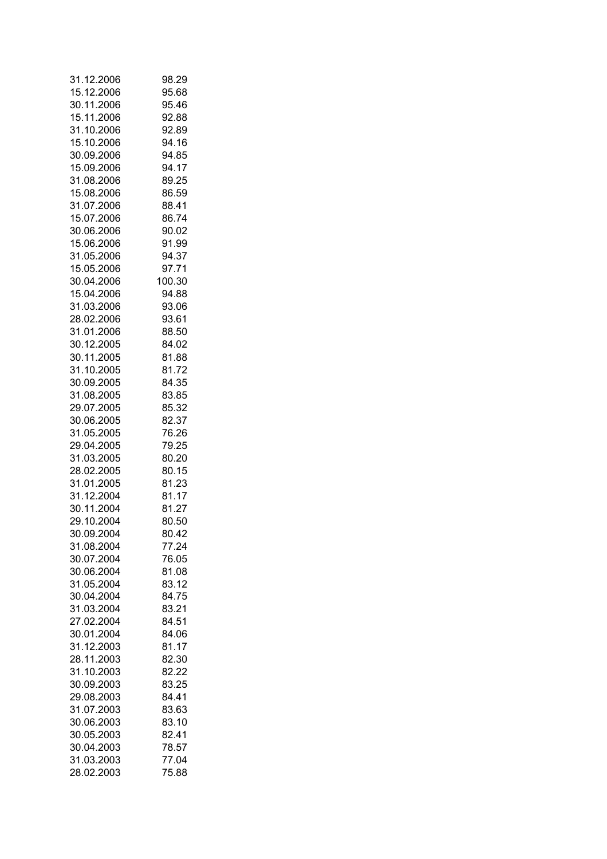| 31.12.2006 | 98.29  |
|------------|--------|
| 15.12.2006 | 95.68  |
| 30.11.2006 | 95.46  |
| 15.11.2006 | 92.88  |
| 31.10.2006 | 92.89  |
| 15.10.2006 | 94.16  |
| 30.09.2006 | 94.85  |
| 15.09.2006 | 94.17  |
| 31.08.2006 | 89.25  |
| 15.08.2006 | 86.59  |
| 31.07.2006 | 88.41  |
| 15.07.2006 | 86.74  |
| 30.06.2006 | 90.02  |
| 15.06.2006 | 91.99  |
| 31.05.2006 | 94.37  |
| 15.05.2006 | 97.71  |
| 30.04.2006 | 100.30 |
| 15.04.2006 | 94.88  |
| 31.03.2006 | 93.06  |
| 28.02.2006 | 93.61  |
| 31.01.2006 |        |
|            | 88.50  |
| 30.12.2005 | 84.02  |
| 30.11.2005 | 81.88  |
| 31.10.2005 | 81.72  |
| 30.09.2005 | 84.35  |
| 31.08.2005 | 83.85  |
| 29.07.2005 | 85.32  |
| 30.06.2005 | 82.37  |
| 31.05.2005 | 76.26  |
| 29.04.2005 | 79.25  |
| 31.03.2005 | 80.20  |
| 28.02.2005 | 80.15  |
| 31.01.2005 | 81.23  |
| 31.12.2004 | 81.17  |
| 30.11.2004 | 81.27  |
| 29.10.2004 | 80.50  |
| 30.09.2004 | 80.42  |
| 31.08.2004 | 77.24  |
| 30.07.2004 | 76.05  |
| 30.06.2004 | 81.08  |
| 31.05.2004 | 83.12  |
| 30.04.2004 | 84.75  |
| 31.03.2004 | 83.21  |
| 27.02.2004 | 84.51  |
| 30.01.2004 | 84.06  |
| 31.12.2003 | 81.17  |
| 28.11.2003 | 82.30  |
| 31.10.2003 | 82.22  |
| 30.09.2003 | 83.25  |
| 29.08.2003 | 84.41  |
| 31.07.2003 | 83.63  |
| 30.06.2003 | 83.10  |
| 30.05.2003 | 82.41  |
| 30.04.2003 | 78.57  |
| 31.03.2003 | 77.04  |
| 28.02.2003 | 75.88  |